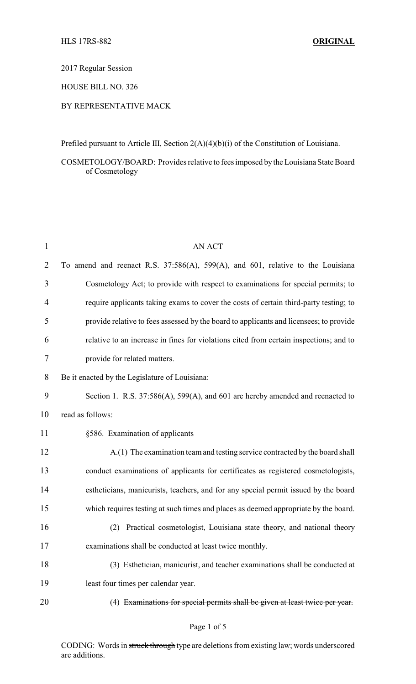2017 Regular Session

HOUSE BILL NO. 326

## BY REPRESENTATIVE MACK

Prefiled pursuant to Article III, Section 2(A)(4)(b)(i) of the Constitution of Louisiana.

COSMETOLOGY/BOARD: Provides relative to fees imposed by the Louisiana State Board of Cosmetology

| $\mathbf{1}$ | <b>AN ACT</b>                                                                          |
|--------------|----------------------------------------------------------------------------------------|
| 2            | To amend and reenact R.S. 37:586(A), 599(A), and 601, relative to the Louisiana        |
| 3            | Cosmetology Act; to provide with respect to examinations for special permits; to       |
| 4            | require applicants taking exams to cover the costs of certain third-party testing; to  |
| 5            | provide relative to fees assessed by the board to applicants and licensees; to provide |
| 6            | relative to an increase in fines for violations cited from certain inspections; and to |
| 7            | provide for related matters.                                                           |
| 8            | Be it enacted by the Legislature of Louisiana:                                         |
| 9            | Section 1. R.S. 37:586(A), 599(A), and 601 are hereby amended and reenacted to         |
| 10           | read as follows:                                                                       |
| 11           | §586. Examination of applicants                                                        |
| 12           | A.(1) The examination team and testing service contracted by the board shall           |
| 13           | conduct examinations of applicants for certificates as registered cosmetologists,      |
| 14           | estheticians, manicurists, teachers, and for any special permit issued by the board    |
| 15           | which requires testing at such times and places as deemed appropriate by the board.    |
| 16           | Practical cosmetologist, Louisiana state theory, and national theory<br>(2)            |
| 17           | examinations shall be conducted at least twice monthly.                                |
| 18           | (3) Esthetician, manicurist, and teacher examinations shall be conducted at            |
| 19           | least four times per calendar year.                                                    |
| 20           | (4) Examinations for special permits shall be given at least twice per year.           |

CODING: Words in struck through type are deletions from existing law; words underscored are additions.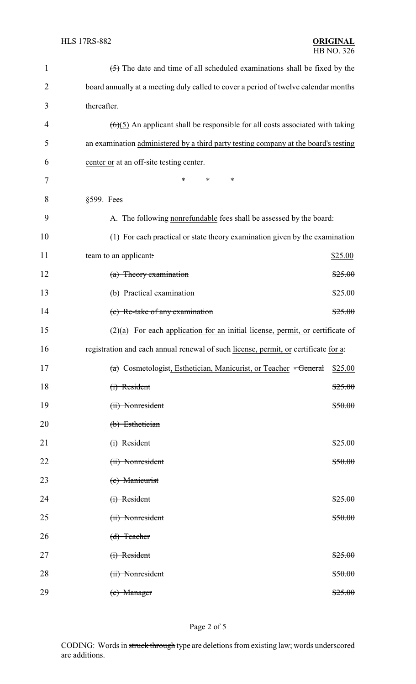| $\mathbf{1}$ | $\left( \frac{1}{2} \right)$ The date and time of all scheduled examinations shall be fixed by the |  |  |
|--------------|----------------------------------------------------------------------------------------------------|--|--|
| 2            | board annually at a meeting duly called to cover a period of twelve calendar months                |  |  |
| 3            | thereafter.                                                                                        |  |  |
| 4            | $(6)(5)$ An applicant shall be responsible for all costs associated with taking                    |  |  |
| 5            | an examination administered by a third party testing company at the board's testing                |  |  |
| 6            | center or at an off-site testing center.                                                           |  |  |
| 7            | $\ast$<br>*<br>*                                                                                   |  |  |
| 8            | §599. Fees                                                                                         |  |  |
| 9            | A. The following nonrefundable fees shall be assessed by the board:                                |  |  |
| 10           | (1) For each practical or state theory examination given by the examination                        |  |  |
| 11           | team to an applicant:<br>\$25.00                                                                   |  |  |
| 12           | (a) Theory examination<br>\$25.00                                                                  |  |  |
| 13           | (b) Practical examination<br>\$25.00                                                               |  |  |
| 14           | (c) Re-take of any examination<br>\$25.00                                                          |  |  |
| 15           | $(2)(a)$ For each application for an initial license, permit, or certificate of                    |  |  |
| 16           | registration and each annual renewal of such license, permit, or certificate for a.                |  |  |
| 17           | (a) Cosmetologist, Esthetician, Manicurist, or Teacher - General \$25.00                           |  |  |
| 18           | (i) Resident<br>\$25.00                                                                            |  |  |
| 19           | (ii) Nonresident<br>\$50.00                                                                        |  |  |
| 20           | (b) Esthetician                                                                                    |  |  |
| 21           | $(i)$ Resident<br>\$25.00                                                                          |  |  |
| 22           | (ii) Nonresident<br><del>\$50.00</del>                                                             |  |  |
| 23           | (c) Manicurist                                                                                     |  |  |
| 24           | $(i)$ Resident<br>\$25.00                                                                          |  |  |
| 25           | (ii) Nonresident<br>\$50.00                                                                        |  |  |
| 26           | $(d)$ Teacher                                                                                      |  |  |
| 27           | $(i)$ Resident<br>\$25.00                                                                          |  |  |
| 28           | (ii) Nonresident<br>\$50.00                                                                        |  |  |
| 29           | (e) Manager<br>\$25.00                                                                             |  |  |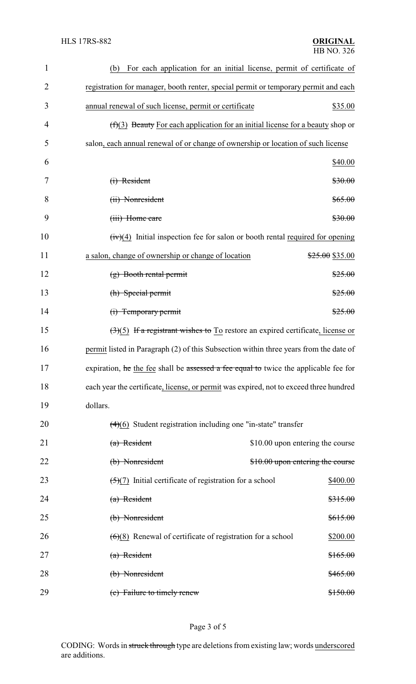| $\mathbf{1}$   | (b)<br>For each application for an initial license, permit of certificate of                       |                                  |  |
|----------------|----------------------------------------------------------------------------------------------------|----------------------------------|--|
| $\overline{2}$ | registration for manager, booth renter, special permit or temporary permit and each                |                                  |  |
| 3              | annual renewal of such license, permit or certificate                                              | \$35.00                          |  |
| 4              | $(f)(3)$ Beauty For each application for an initial license for a beauty shop or                   |                                  |  |
| 5              | salon, each annual renewal of or change of ownership or location of such license                   |                                  |  |
| 6              |                                                                                                    | \$40.00                          |  |
| 7              | $(i)$ Resident                                                                                     | \$30.00                          |  |
| 8              | (ii) Nonresident                                                                                   | \$65.00                          |  |
| 9              | (iii) Home care                                                                                    | \$30.00                          |  |
| 10             | $(iv)(4)$ Initial inspection fee for salon or booth rental required for opening                    |                                  |  |
| 11             | a salon, change of ownership or change of location                                                 | \$25.00 \$35.00                  |  |
| 12             | $(g)$ Booth rental permit                                                                          | \$25.00                          |  |
| 13             | (h) Special permit                                                                                 | \$25.00                          |  |
| 14             | (i) Temporary permit                                                                               | \$25.00                          |  |
| 15             | $\left(\frac{3}{5}\right)$ If a registrant wishes to To restore an expired certificate, license or |                                  |  |
| 16             | permit listed in Paragraph (2) of this Subsection within three years from the date of              |                                  |  |
| 17             | expiration, he the fee shall be assessed a fee equal to twice the applicable fee for               |                                  |  |
| 18             | each year the certificate, license, or permit was expired, not to exceed three hundred             |                                  |  |
| 19             | dollars.                                                                                           |                                  |  |
| 20             | $(4)(6)$ Student registration including one "in-state" transfer                                    |                                  |  |
| 21             | $(a)$ Resident                                                                                     | \$10.00 upon entering the course |  |
| 22             | (b) Nonresident                                                                                    | \$10.00 upon entering the course |  |
| 23             | $\left(\frac{5}{7}\right)$ Initial certificate of registration for a school                        | \$400.00                         |  |
| 24             | $(a)$ Resident                                                                                     | \$315.00                         |  |
| 25             | (b) Nonresident                                                                                    | \$615.00                         |  |
| 26             | $(6)(8)$ Renewal of certificate of registration for a school                                       | \$200.00                         |  |
| 27             | (a) Resident                                                                                       | \$165.00                         |  |
| 28             | (b) Nonresident                                                                                    | \$465.00                         |  |
| 29             | (c) Failure to timely renew                                                                        | \$150.00                         |  |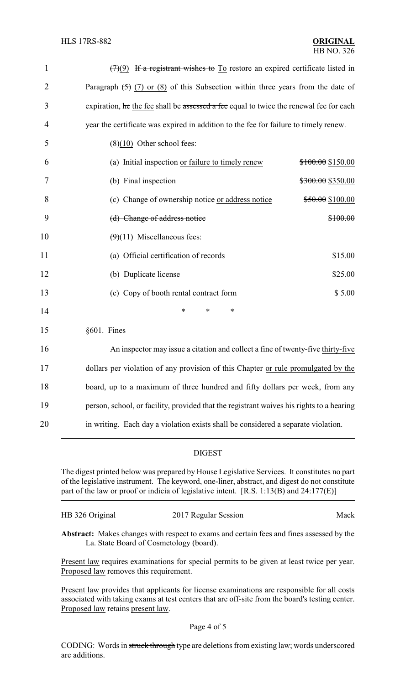| $\mathbf{1}$   | $(7)(9)$ If a registrant wishes to To restore an expired certificate listed in           |                   |  |
|----------------|------------------------------------------------------------------------------------------|-------------------|--|
| $\overline{2}$ | Paragraph $(5)$ (7) or (8) of this Subsection within three years from the date of        |                   |  |
| 3              | expiration, he the fee shall be assessed a fee equal to twice the renewal fee for each   |                   |  |
| $\overline{4}$ | year the certificate was expired in addition to the fee for failure to timely renew.     |                   |  |
| 5              | $(8)(10)$ Other school fees:                                                             |                   |  |
| 6              | (a) Initial inspection or failure to timely renew                                        | \$100.00 \$150.00 |  |
| 7              | (b) Final inspection                                                                     | \$300.00 \$350.00 |  |
| 8              | (c) Change of ownership notice or address notice                                         | \$50.00 \$100.00  |  |
| 9              | (d) Change of address notice                                                             | \$100.00          |  |
| 10             | $(9)(11)$ Miscellaneous fees:                                                            |                   |  |
| 11             | (a) Official certification of records                                                    | \$15.00           |  |
| 12             | (b) Duplicate license                                                                    | \$25.00           |  |
| 13             | (c) Copy of booth rental contract form                                                   | \$5.00            |  |
| 14             | $\ast$<br>*<br>*                                                                         |                   |  |
| 15             | §601. Fines                                                                              |                   |  |
| 16             | An inspector may issue a citation and collect a fine of twenty-five thirty-five          |                   |  |
| 17             | dollars per violation of any provision of this Chapter or rule promulgated by the        |                   |  |
| 18             | board, up to a maximum of three hundred and fifty dollars per week, from any             |                   |  |
| 19             | person, school, or facility, provided that the registrant waives his rights to a hearing |                   |  |

20 in writing. Each day a violation exists shall be considered a separate violation.

## DIGEST

The digest printed below was prepared by House Legislative Services. It constitutes no part of the legislative instrument. The keyword, one-liner, abstract, and digest do not constitute part of the law or proof or indicia of legislative intent. [R.S. 1:13(B) and 24:177(E)]

HB 326 Original 2017 Regular Session Mack

**Abstract:** Makes changes with respect to exams and certain fees and fines assessed by the La. State Board of Cosmetology (board).

Present law requires examinations for special permits to be given at least twice per year. Proposed law removes this requirement.

Present law provides that applicants for license examinations are responsible for all costs associated with taking exams at test centers that are off-site from the board's testing center. Proposed law retains present law.

CODING: Words in struck through type are deletions from existing law; words underscored are additions.